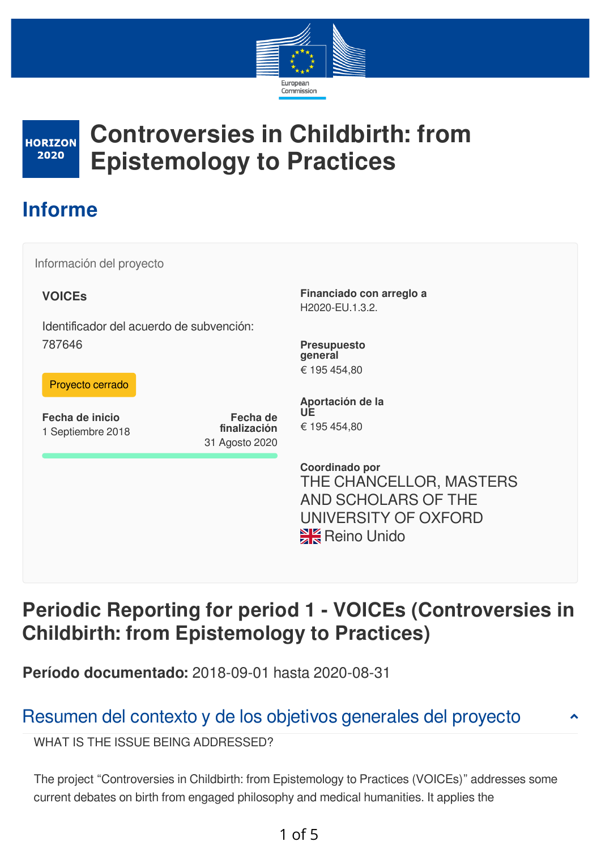



# **Controversies in Childbirth: from Epistemology to Practices**

# **Informe**

Información del proyecto

### **VOICEs**

Identificador del acuerdo de subvención: 787646

#### Proyecto cerrado

**Fecha de inicio** 1 Septiembre 2018

**Fecha de finalización** 31 Agosto 2020

**Financiado con arreglo a** H2020-EU.1.3.2.

**Presupuesto general** € 195 454,80

**Aportación de la UE** € 195 454,80

**Coordinado por** THE CHANCELLOR, MASTERS AND SCHOLARS OF THE UNIVERSITY OF OXFORD **XX** Reino Unido

# **Periodic Reporting for period 1 - VOICEs (Controversies in Childbirth: from Epistemology to Practices)**

**Período documentado:** 2018-09-01 hasta 2020-08-31

# Resumen del contexto y de los objetivos generales del proyecto

WHAT IS THE ISSUE BEING ADDRESSED?

The project "Controversies in Childbirth: from Epistemology to Practices (VOICEs)" addresses some current debates on birth from engaged philosophy and medical humanities. It applies the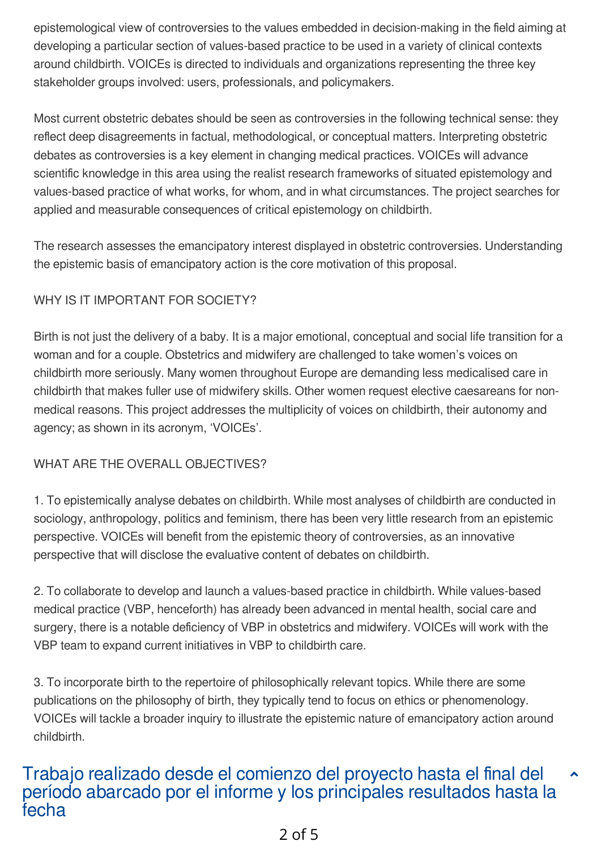epistemological view of controversies to the values embedded in decision-making in the field aiming at developing a particular section of values-based practice to be used in a variety of clinical contexts around childbirth. VOICEs is directed to individuals and organizations representing the three key stakeholder groups involved: users, professionals, and policymakers.

Most current obstetric debates should be seen as controversies in the following technical sense: they reflect deep disagreements in factual, methodological, or conceptual matters. Interpreting obstetric debates as controversies is a key element in changing medical practices. VOICEs will advance scientific knowledge in this area using the realist research frameworks of situated epistemology and values-based practice of what works, for whom, and in what circumstances. The project searches for applied and measurable consequences of critical epistemology on childbirth.

The research assesses the emancipatory interest displayed in obstetric controversies. Understanding the epistemic basis of emancipatory action is the core motivation of this proposal.

### WHY IS IT IMPORTANT FOR SOCIETY?

Birth is not just the delivery of a baby. It is a major emotional, conceptual and social life transition for a woman and for a couple. Obstetrics and midwifery are challenged to take women's voices on childbirth more seriously. Many women throughout Europe are demanding less medicalised care in childbirth that makes fuller use of midwifery skills. Other women request elective caesareans for nonmedical reasons. This project addresses the multiplicity of voices on childbirth, their autonomy and agency; as shown in its acronym, 'VOICEs'.

### WHAT ARE THE OVERALL OBJECTIVES?

1. To epistemically analyse debates on childbirth. While most analyses of childbirth are conducted in sociology, anthropology, politics and feminism, there has been very little research from an epistemic perspective. VOICEs will benefit from the epistemic theory of controversies, as an innovative perspective that will disclose the evaluative content of debates on childbirth.

2. To collaborate to develop and launch a values-based practice in childbirth. While values-based medical practice (VBP, henceforth) has already been advanced in mental health, social care and surgery, there is a notable deficiency of VBP in obstetrics and midwifery. VOICEs will work with the VBP team to expand current initiatives in VBP to childbirth care.

3. To incorporate birth to the repertoire of philosophically relevant topics. While there are some publications on the philosophy of birth, they typically tend to focus on ethics or phenomenology. VOICEs will tackle a broader inquiry to illustrate the epistemic nature of emancipatory action around childbirth.

#### Trabajo realizado desde el comienzo del proyecto hasta el final del período abarcado por el informe y los principales resultados hasta la fecha  $\blacktriangle$

## 2 of 5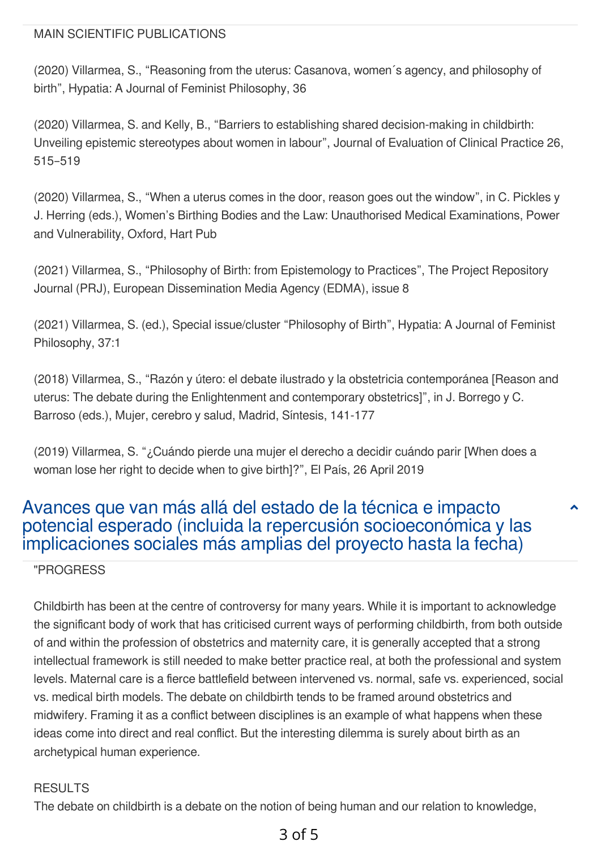#### MAIN SCIENTIFIC PUBLICATIONS

(2020) Villarmea, S., "Reasoning from the uterus: Casanova, women´s agency, and philosophy of birth", Hypatia: A Journal of Feminist Philosophy, 36

(2020) Villarmea, S. and Kelly, B., "Barriers to establishing shared decision-making in childbirth: Unveiling epistemic stereotypes about women in labour", Journal of Evaluation of Clinical Practice 26, 515–519

(2020) Villarmea, S., "When a uterus comes in the door, reason goes out the window", in C. Pickles y J. Herring (eds.), Women's Birthing Bodies and the Law: Unauthorised Medical Examinations, Power and Vulnerability, Oxford, Hart Pub

(2021) Villarmea, S., "Philosophy of Birth: from Epistemology to Practices", The Project Repository Journal (PRJ), European Dissemination Media Agency (EDMA), issue 8

(2021) Villarmea, S. (ed.), Special issue/cluster "Philosophy of Birth", Hypatia: A Journal of Feminist Philosophy, 37:1

(2018) Villarmea, S., "Razón y útero: el debate ilustrado y la obstetricia contemporánea [Reason and uterus: The debate during the Enlightenment and contemporary obstetrics]", in J. Borrego y C. Barroso (eds.), Mujer, cerebro y salud, Madrid, Síntesis, 141-177

(2019) Villarmea, S. "¿Cuándo pierde una mujer el derecho a decidir cuándo parir [When does a woman lose her right to decide when to give birth]?", El País, 26 April 2019

## Avances que van más allá del estado de la técnica e impacto potencial esperado (incluida la repercusión socioeconómica y las implicaciones sociales más amplias del proyecto hasta la fecha)

 $\blacktriangle$ 

"PROGRESS

Childbirth has been at the centre of controversy for many years. While it is important to acknowledge the significant body of work that has criticised current ways of performing childbirth, from both outside of and within the profession of obstetrics and maternity care, it is generally accepted that a strong intellectual framework is still needed to make better practice real, at both the professional and system levels. Maternal care is a fierce battlefield between intervened vs. normal, safe vs. experienced, social vs. medical birth models. The debate on childbirth tends to be framed around obstetrics and midwifery. Framing it as a conflict between disciplines is an example of what happens when these ideas come into direct and real conflict. But the interesting dilemma is surely about birth as an archetypical human experience.

#### RESULTS

The debate on childbirth is a debate on the notion of being human and our relation to knowledge,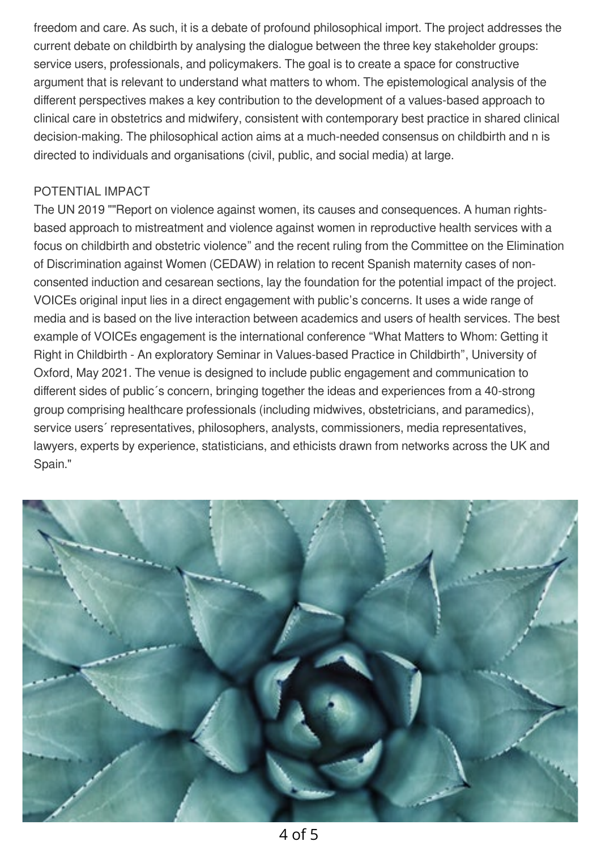freedom and care. As such, it is a debate of profound philosophical import. The project addresses the current debate on childbirth by analysing the dialogue between the three key stakeholder groups: service users, professionals, and policymakers. The goal is to create a space for constructive argument that is relevant to understand what matters to whom. The epistemological analysis of the different perspectives makes a key contribution to the development of a values-based approach to clinical care in obstetrics and midwifery, consistent with contemporary best practice in shared clinical decision-making. The philosophical action aims at a much-needed consensus on childbirth and n is directed to individuals and organisations (civil, public, and social media) at large.

#### POTENTIAL IMPACT

The UN 2019 ""Report on violence against women, its causes and consequences. A human rightsbased approach to mistreatment and violence against women in reproductive health services with a focus on childbirth and obstetric violence" and the recent ruling from the Committee on the Elimination of Discrimination against Women (CEDAW) in relation to recent Spanish maternity cases of nonconsented induction and cesarean sections, lay the foundation for the potential impact of the project. VOICEs original input lies in a direct engagement with public's concerns. It uses a wide range of media and is based on the live interaction between academics and users of health services. The best example of VOICEs engagement is the international conference "What Matters to Whom: Getting it Right in Childbirth - An exploratory Seminar in Values-based Practice in Childbirth", University of Oxford, May 2021. The venue is designed to include public engagement and communication to different sides of public´s concern, bringing together the ideas and experiences from a 40-strong group comprising healthcare professionals (including midwives, obstetricians, and paramedics), service users´ representatives, philosophers, analysts, commissioners, media representatives, lawyers, experts by experience, statisticians, and ethicists drawn from networks across the UK and Spain."